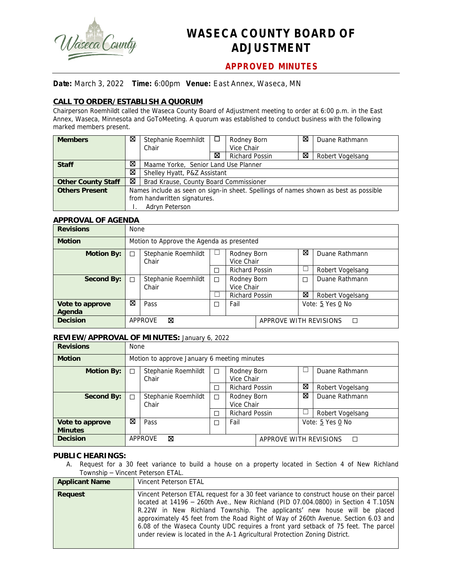

# **WASECA COUNTY BOARD OF ADJUSTMENT**

# **APPROVED MINUTES**

## **Date:** March 3, 2022 **Time:** 6:00pm **Venue:** East Annex, Waseca, MN

# **CALL TO ORDER/ESTABLISH A QUORUM**

Chairperson Roemhildt called the Waseca County Board of Adjustment meeting to order at 6:00 p.m. in the East Annex, Waseca, Minnesota and GoToMeeting. A quorum was established to conduct business with the following marked members present.

| <b>Members</b>            | ⊠ | Stephanie Roemhildt                                                                  | ⊔                                    | Rodney Born | ⊠ | Duane Rathmann   |  |  |  |
|---------------------------|---|--------------------------------------------------------------------------------------|--------------------------------------|-------------|---|------------------|--|--|--|
|                           |   | Chair                                                                                |                                      | Vice Chair  |   |                  |  |  |  |
|                           |   |                                                                                      | ⊠<br><b>Richard Possin</b>           |             | ⊠ | Robert Vogelsang |  |  |  |
| <b>Staff</b>              | ⊠ |                                                                                      | Maame Yorke, Senior Land Use Planner |             |   |                  |  |  |  |
|                           | ⊠ | Shelley Hyatt, P&Z Assistant                                                         |                                      |             |   |                  |  |  |  |
| <b>Other County Staff</b> | ⊠ | Brad Krause, County Board Commissioner                                               |                                      |             |   |                  |  |  |  |
| <b>Others Present</b>     |   | Names include as seen on sign-in sheet. Spellings of names shown as best as possible |                                      |             |   |                  |  |  |  |
|                           |   | from handwritten signatures.                                                         |                                      |             |   |                  |  |  |  |
|                           |   | Adryn Peterson                                                                       |                                      |             |   |                  |  |  |  |

### **APPROVAL OF AGENDA**

| <b>Revisions</b>  | <b>None</b> |                                           |           |                       |                             |   |                  |  |  |
|-------------------|-------------|-------------------------------------------|-----------|-----------------------|-----------------------------|---|------------------|--|--|
| <b>Motion</b>     |             | Motion to Approve the Agenda as presented |           |                       |                             |   |                  |  |  |
| <b>Motion By:</b> | П           | Stephanie Roemhildt                       | ப         | Rodney Born           |                             |   | Duane Rathmann   |  |  |
|                   |             | Chair                                     |           | Vice Chair            |                             |   |                  |  |  |
|                   |             |                                           | П         | <b>Richard Possin</b> |                             |   | Robert Vogelsang |  |  |
| Second By:        | П           | Stephanie Roemhildt                       | □         | Rodney Born           |                             | П | Duane Rathmann   |  |  |
|                   |             | Chair                                     |           | Vice Chair            |                             |   |                  |  |  |
|                   |             |                                           |           | <b>Richard Possin</b> |                             | ⊠ | Robert Vogelsang |  |  |
| Vote to approve   | ⊠           | Pass                                      | Fail<br>□ |                       |                             |   | Vote: 5 Yes 0 No |  |  |
| Agenda            |             |                                           |           |                       |                             |   |                  |  |  |
| <b>Decision</b>   |             | ⊠<br><b>APPROVE</b>                       |           |                       | APPROVE WITH REVISIONS<br>П |   |                  |  |  |

#### **REVIEW/APPROVAL OF MINUTES:** January 6, 2022

| <b>Revisions</b>                  | <b>None</b>                                 |                                             |        |                           |  |                  |                  |  |
|-----------------------------------|---------------------------------------------|---------------------------------------------|--------|---------------------------|--|------------------|------------------|--|
| <b>Motion</b>                     |                                             | Motion to approve January 6 meeting minutes |        |                           |  |                  |                  |  |
| <b>Motion By:</b>                 | □                                           | Stephanie Roemhildt<br>Chair                | $\Box$ | Rodney Born<br>Vice Chair |  |                  | Duane Rathmann   |  |
|                                   |                                             |                                             | □      | <b>Richard Possin</b>     |  |                  | Robert Vogelsang |  |
| Second By:                        | П                                           | Stephanie Roemhildt<br>Chair                | $\Box$ | Rodney Born<br>Vice Chair |  | ⊠                | Duane Rathmann   |  |
|                                   |                                             |                                             | П      | <b>Richard Possin</b>     |  |                  | Robert Vogelsang |  |
| Vote to approve<br><b>Minutes</b> | ⊠                                           | Pass                                        | □      | Fail                      |  | Vote: 5 Yes 0 No |                  |  |
| <b>Decision</b>                   | APPROVE<br>⊠<br>APPROVE WITH REVISIONS<br>П |                                             |        |                           |  |                  |                  |  |

#### **PUBLIC HEARINGS:**

A. Request for a 30 feet variance to build a house on a property located in Section 4 of New Richland Township – Vincent Peterson ETAL.

| <b>Applicant Name</b> | Vincent Peterson ETAL                                                                                                                                                                                                                                                                                                                                                                                                                                                                                                  |
|-----------------------|------------------------------------------------------------------------------------------------------------------------------------------------------------------------------------------------------------------------------------------------------------------------------------------------------------------------------------------------------------------------------------------------------------------------------------------------------------------------------------------------------------------------|
| Request               | Vincent Peterson ETAL request for a 30 feet variance to construct house on their parcel<br>located at $14196 - 260$ th Ave., New Richland (PID 07.004.0800) in Section 4 T.105N<br>R.22W in New Richland Township. The applicants' new house will be placed<br>approximately 45 feet from the Road Right of Way of 260th Avenue. Section 6.03 and<br>6.08 of the Waseca County UDC requires a front yard setback of 75 feet. The parcel<br>under review is located in the A-1 Agricultural Protection Zoning District. |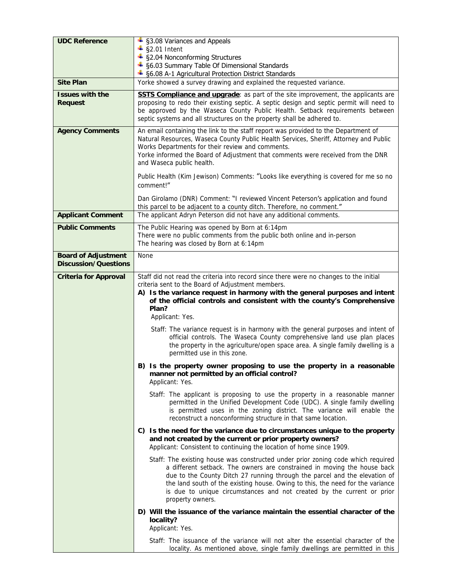| <b>UDC Reference</b>                                      | + §3.08 Variances and Appeals<br>$\frac{1}{2}$ §2.01 Intent                                                                                                                                                                                                                                                                                                                                                                |  |  |  |  |  |
|-----------------------------------------------------------|----------------------------------------------------------------------------------------------------------------------------------------------------------------------------------------------------------------------------------------------------------------------------------------------------------------------------------------------------------------------------------------------------------------------------|--|--|--|--|--|
|                                                           | + §2.04 Nonconforming Structures                                                                                                                                                                                                                                                                                                                                                                                           |  |  |  |  |  |
|                                                           | + §6.03 Summary Table Of Dimensional Standards<br>+ §6.08 A-1 Agricultural Protection District Standards                                                                                                                                                                                                                                                                                                                   |  |  |  |  |  |
| <b>Site Plan</b>                                          | Yorke showed a survey drawing and explained the requested variance.                                                                                                                                                                                                                                                                                                                                                        |  |  |  |  |  |
| <b>Issues with the</b>                                    | <b>SSTS Compliance and upgrade:</b> as part of the site improvement, the applicants are                                                                                                                                                                                                                                                                                                                                    |  |  |  |  |  |
| <b>Request</b>                                            | proposing to redo their existing septic. A septic design and septic permit will need to<br>be approved by the Waseca County Public Health. Setback requirements between                                                                                                                                                                                                                                                    |  |  |  |  |  |
|                                                           | septic systems and all structures on the property shall be adhered to.                                                                                                                                                                                                                                                                                                                                                     |  |  |  |  |  |
| <b>Agency Comments</b>                                    | An email containing the link to the staff report was provided to the Department of<br>Natural Resources, Waseca County Public Health Services, Sheriff, Attorney and Public<br>Works Departments for their review and comments.                                                                                                                                                                                            |  |  |  |  |  |
|                                                           | Yorke informed the Board of Adjustment that comments were received from the DNR<br>and Waseca public health.                                                                                                                                                                                                                                                                                                               |  |  |  |  |  |
|                                                           | Public Health (Kim Jewison) Comments: "Looks like everything is covered for me so no<br>comment!"                                                                                                                                                                                                                                                                                                                          |  |  |  |  |  |
|                                                           | Dan Girolamo (DNR) Comment: "I reviewed Vincent Peterson's application and found<br>this parcel to be adjacent to a county ditch. Therefore, no comment."                                                                                                                                                                                                                                                                  |  |  |  |  |  |
| <b>Applicant Comment</b>                                  | The applicant Adryn Peterson did not have any additional comments.                                                                                                                                                                                                                                                                                                                                                         |  |  |  |  |  |
| <b>Public Comments</b>                                    | The Public Hearing was opened by Born at 6:14pm<br>There were no public comments from the public both online and in-person<br>The hearing was closed by Born at 6:14pm                                                                                                                                                                                                                                                     |  |  |  |  |  |
| <b>Board of Adjustment</b><br><b>Discussion/Questions</b> | None                                                                                                                                                                                                                                                                                                                                                                                                                       |  |  |  |  |  |
| <b>Criteria for Approval</b>                              | Staff did not read the criteria into record since there were no changes to the initial<br>criteria sent to the Board of Adjustment members.<br>A) Is the variance request in harmony with the general purposes and intent<br>of the official controls and consistent with the county's Comprehensive<br>Plan?<br>Applicant: Yes.                                                                                           |  |  |  |  |  |
|                                                           | Staff: The variance request is in harmony with the general purposes and intent of<br>official controls. The Waseca County comprehensive land use plan places<br>the property in the agriculture/open space area. A single family dwelling is a<br>permitted use in this zone.                                                                                                                                              |  |  |  |  |  |
|                                                           | B) Is the property owner proposing to use the property in a reasonable<br>manner not permitted by an official control?<br>Applicant: Yes.                                                                                                                                                                                                                                                                                  |  |  |  |  |  |
|                                                           | Staff: The applicant is proposing to use the property in a reasonable manner<br>permitted in the Unified Development Code (UDC). A single family dwelling<br>is permitted uses in the zoning district. The variance will enable the<br>reconstruct a nonconforming structure in that same location.                                                                                                                        |  |  |  |  |  |
|                                                           | C) Is the need for the variance due to circumstances unique to the property<br>and not created by the current or prior property owners?<br>Applicant: Consistent to continuing the location of home since 1909.                                                                                                                                                                                                            |  |  |  |  |  |
|                                                           | Staff: The existing house was constructed under prior zoning code which required<br>a different setback. The owners are constrained in moving the house back<br>due to the County Ditch 27 running through the parcel and the elevation of<br>the land south of the existing house. Owing to this, the need for the variance<br>is due to unique circumstances and not created by the current or prior<br>property owners. |  |  |  |  |  |
|                                                           | D) Will the issuance of the variance maintain the essential character of the<br>locality?<br>Applicant: Yes.                                                                                                                                                                                                                                                                                                               |  |  |  |  |  |
|                                                           | Staff: The issuance of the variance will not alter the essential character of the<br>locality. As mentioned above, single family dwellings are permitted in this                                                                                                                                                                                                                                                           |  |  |  |  |  |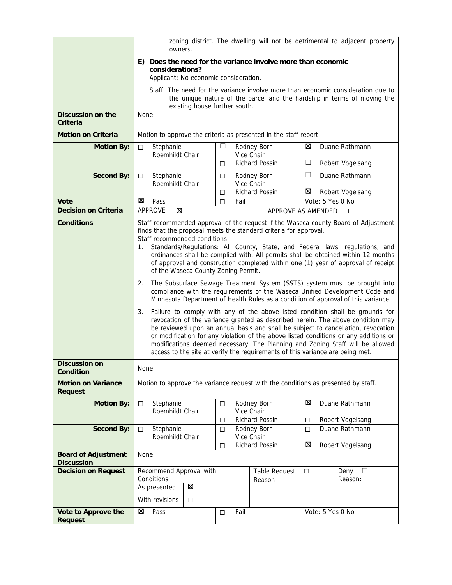|                                                 | zoning district. The dwelling will not be detrimental to adjacent property<br>owners.                                                                                                                                                                                                                                                                                                                                                                                                                                                                                                                                                                                                                                                                                                                                                                                                                                                                                                                                                                                                                                                                                                                                                                                           |                                                                 |                                                                                                           |        |                           |                   |                    |        |  |                  |
|-------------------------------------------------|---------------------------------------------------------------------------------------------------------------------------------------------------------------------------------------------------------------------------------------------------------------------------------------------------------------------------------------------------------------------------------------------------------------------------------------------------------------------------------------------------------------------------------------------------------------------------------------------------------------------------------------------------------------------------------------------------------------------------------------------------------------------------------------------------------------------------------------------------------------------------------------------------------------------------------------------------------------------------------------------------------------------------------------------------------------------------------------------------------------------------------------------------------------------------------------------------------------------------------------------------------------------------------|-----------------------------------------------------------------|-----------------------------------------------------------------------------------------------------------|--------|---------------------------|-------------------|--------------------|--------|--|------------------|
|                                                 | E) Does the need for the variance involve more than economic<br>considerations?<br>Applicant: No economic consideration.                                                                                                                                                                                                                                                                                                                                                                                                                                                                                                                                                                                                                                                                                                                                                                                                                                                                                                                                                                                                                                                                                                                                                        |                                                                 |                                                                                                           |        |                           |                   |                    |        |  |                  |
|                                                 | Staff: The need for the variance involve more than economic consideration due to<br>the unique nature of the parcel and the hardship in terms of moving the<br>existing house further south.                                                                                                                                                                                                                                                                                                                                                                                                                                                                                                                                                                                                                                                                                                                                                                                                                                                                                                                                                                                                                                                                                    |                                                                 |                                                                                                           |        |                           |                   |                    |        |  |                  |
| Discussion on the<br>Criteria                   |                                                                                                                                                                                                                                                                                                                                                                                                                                                                                                                                                                                                                                                                                                                                                                                                                                                                                                                                                                                                                                                                                                                                                                                                                                                                                 | <b>None</b>                                                     |                                                                                                           |        |                           |                   |                    |        |  |                  |
| <b>Motion on Criteria</b>                       |                                                                                                                                                                                                                                                                                                                                                                                                                                                                                                                                                                                                                                                                                                                                                                                                                                                                                                                                                                                                                                                                                                                                                                                                                                                                                 | Motion to approve the criteria as presented in the staff report |                                                                                                           |        |                           |                   |                    |        |  |                  |
| <b>Motion By:</b>                               | $\Box$                                                                                                                                                                                                                                                                                                                                                                                                                                                                                                                                                                                                                                                                                                                                                                                                                                                                                                                                                                                                                                                                                                                                                                                                                                                                          | Stephanie<br>Roemhildt Chair                                    |                                                                                                           |        | Rodney Born<br>Vice Chair |                   |                    | ⊠      |  | Duane Rathmann   |
|                                                 |                                                                                                                                                                                                                                                                                                                                                                                                                                                                                                                                                                                                                                                                                                                                                                                                                                                                                                                                                                                                                                                                                                                                                                                                                                                                                 |                                                                 |                                                                                                           | □      | <b>Richard Possin</b>     |                   |                    | $\Box$ |  | Robert Vogelsang |
| <b>Second By:</b>                               | $\Box$                                                                                                                                                                                                                                                                                                                                                                                                                                                                                                                                                                                                                                                                                                                                                                                                                                                                                                                                                                                                                                                                                                                                                                                                                                                                          | Stephanie<br>Roemhildt Chair                                    |                                                                                                           | □      | Rodney Born<br>Vice Chair |                   |                    | □      |  | Duane Rathmann   |
|                                                 |                                                                                                                                                                                                                                                                                                                                                                                                                                                                                                                                                                                                                                                                                                                                                                                                                                                                                                                                                                                                                                                                                                                                                                                                                                                                                 |                                                                 |                                                                                                           | □      | Richard Possin            |                   |                    | ⊠      |  | Robert Vogelsang |
| Vote                                            | ⊠                                                                                                                                                                                                                                                                                                                                                                                                                                                                                                                                                                                                                                                                                                                                                                                                                                                                                                                                                                                                                                                                                                                                                                                                                                                                               | Pass                                                            |                                                                                                           | $\Box$ | Fail                      |                   |                    |        |  | Vote: 5 Yes 0 No |
| <b>Decision on Criteria</b>                     |                                                                                                                                                                                                                                                                                                                                                                                                                                                                                                                                                                                                                                                                                                                                                                                                                                                                                                                                                                                                                                                                                                                                                                                                                                                                                 | APPROVE<br>$\boxtimes$                                          |                                                                                                           |        |                           |                   | APPROVE AS AMENDED |        |  | $\Box$           |
| <b>Conditions</b>                               | Staff recommended approval of the request if the Waseca county Board of Adjustment<br>finds that the proposal meets the standard criteria for approval.<br>Staff recommended conditions:<br>Standards/Regulations: All County, State, and Federal laws, regulations, and<br>1.<br>ordinances shall be complied with. All permits shall be obtained within 12 months<br>of approval and construction completed within one (1) year of approval of receipt<br>of the Waseca County Zoning Permit.<br>The Subsurface Sewage Treatment System (SSTS) system must be brought into<br>2.<br>compliance with the requirements of the Waseca Unified Development Code and<br>Minnesota Department of Health Rules as a condition of approval of this variance.<br>Failure to comply with any of the above-listed condition shall be grounds for<br>3.<br>revocation of the variance granted as described herein. The above condition may<br>be reviewed upon an annual basis and shall be subject to cancellation, revocation<br>or modification for any violation of the above listed conditions or any additions or<br>modifications deemed necessary. The Planning and Zoning Staff will be allowed<br>access to the site at verify the requirements of this variance are being met. |                                                                 |                                                                                                           |        |                           |                   |                    |        |  |                  |
| <b>Discussion on</b><br>Condition               | None                                                                                                                                                                                                                                                                                                                                                                                                                                                                                                                                                                                                                                                                                                                                                                                                                                                                                                                                                                                                                                                                                                                                                                                                                                                                            |                                                                 |                                                                                                           |        |                           |                   |                    |        |  |                  |
| <b>Motion on Variance</b><br><b>Request</b>     | Motion to approve the variance request with the conditions as presented by staff.                                                                                                                                                                                                                                                                                                                                                                                                                                                                                                                                                                                                                                                                                                                                                                                                                                                                                                                                                                                                                                                                                                                                                                                               |                                                                 |                                                                                                           |        |                           |                   |                    |        |  |                  |
| <b>Motion By:</b>                               | $\Box$                                                                                                                                                                                                                                                                                                                                                                                                                                                                                                                                                                                                                                                                                                                                                                                                                                                                                                                                                                                                                                                                                                                                                                                                                                                                          | Stephanie<br>Roemhildt Chair                                    |                                                                                                           | $\Box$ | Rodney Born<br>Vice Chair |                   |                    | ⊠      |  | Duane Rathmann   |
|                                                 |                                                                                                                                                                                                                                                                                                                                                                                                                                                                                                                                                                                                                                                                                                                                                                                                                                                                                                                                                                                                                                                                                                                                                                                                                                                                                 |                                                                 |                                                                                                           | □      | Richard Possin            |                   |                    | $\Box$ |  | Robert Vogelsang |
| <b>Second By:</b>                               | $\Box$                                                                                                                                                                                                                                                                                                                                                                                                                                                                                                                                                                                                                                                                                                                                                                                                                                                                                                                                                                                                                                                                                                                                                                                                                                                                          | Stephanie                                                       | Rodney Born<br>Duane Rathmann<br>□<br>□<br>Roemhildt Chair<br>Vice Chair<br>⊠<br>Richard Possin<br>$\Box$ |        |                           |                   | Robert Vogelsang   |        |  |                  |
| <b>Board of Adjustment</b><br><b>Discussion</b> | None                                                                                                                                                                                                                                                                                                                                                                                                                                                                                                                                                                                                                                                                                                                                                                                                                                                                                                                                                                                                                                                                                                                                                                                                                                                                            |                                                                 |                                                                                                           |        |                           |                   |                    |        |  |                  |
| <b>Decision on Request</b>                      | Recommend Approval with<br>Deny<br>Table Request<br>$\Box$<br>Conditions<br>Reason<br>Ø<br>As presented<br>With revisions<br>□                                                                                                                                                                                                                                                                                                                                                                                                                                                                                                                                                                                                                                                                                                                                                                                                                                                                                                                                                                                                                                                                                                                                                  |                                                                 |                                                                                                           |        |                           | $\Box$<br>Reason: |                    |        |  |                  |
| Vote to Approve the<br><b>Request</b>           | 図                                                                                                                                                                                                                                                                                                                                                                                                                                                                                                                                                                                                                                                                                                                                                                                                                                                                                                                                                                                                                                                                                                                                                                                                                                                                               | Pass                                                            | Vote: 5 Yes 0 No<br>Fail<br>$\Box$                                                                        |        |                           |                   |                    |        |  |                  |